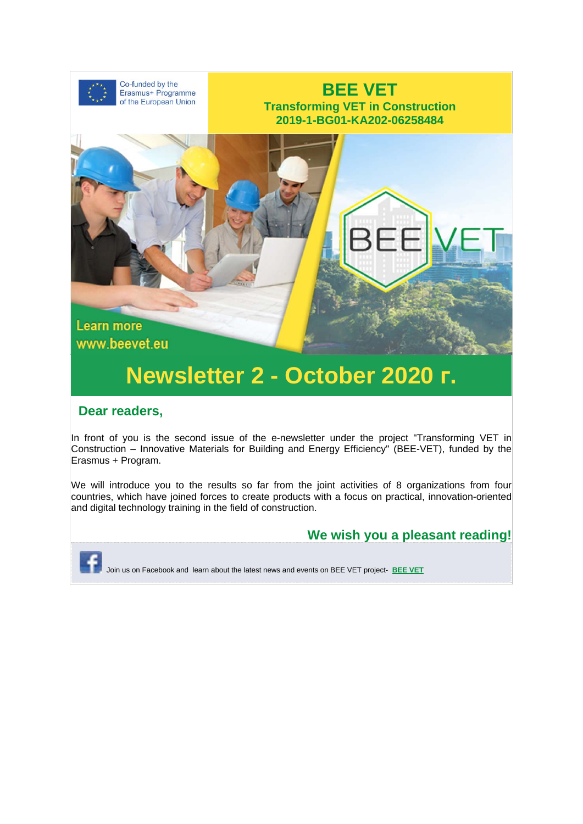

## **Newsletter 2 - October 2020 г.**

#### **Dear readers,**

In front of you is the second issue of the e-newsletter under the project "Transforming VET in Construction – Innovative Materials for Building and Energy Efficiency" (BEE-VET), funded by the Erasmus + Program.

We will introduce you to the results so far from the joint activities of 8 organizations from four countries, which have joined forces to create products with a focus on practical, innovation-oriented and digital technology training in the field of construction.



Join us on Facebook and learn about the latest news and events on BEE VET project- **BEE VET**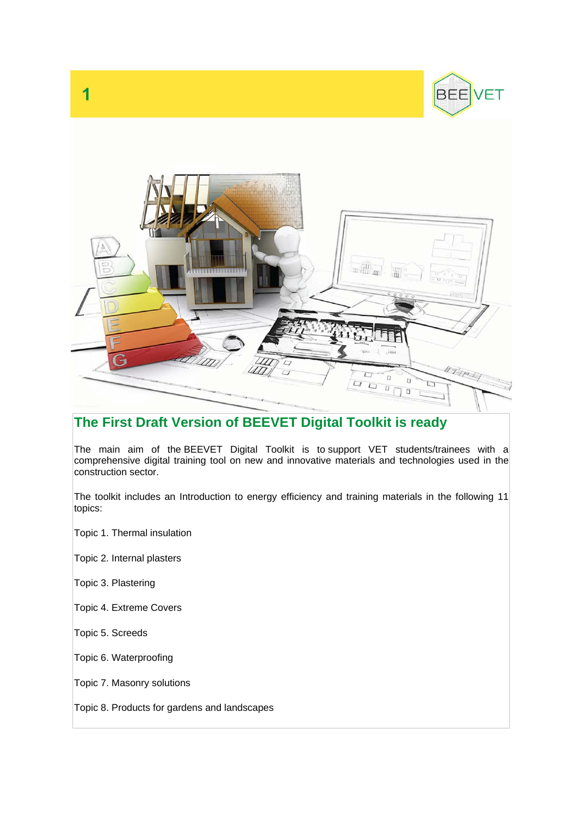



### **The First Draft Version of BEEVET Digital Toolkit is ready**

The main aim of the BEEVET Digital Toolkit is to support VET students/trainees with a comprehensive digital training tool on new and innovative materials and technologies used in the construction sector.

The toolkit includes an Introduction to energy efficiency and training materials in the following 11 topics:

Topic 1. Thermal insulation

Topic 2. Internal plasters

Topic 3. Plastering

Topic 4. Extreme Covers

Topic 5. Screeds

Topic 6. Waterproofing

Topic 7. Masonry solutions

Topic 8. Products for gardens and landscapes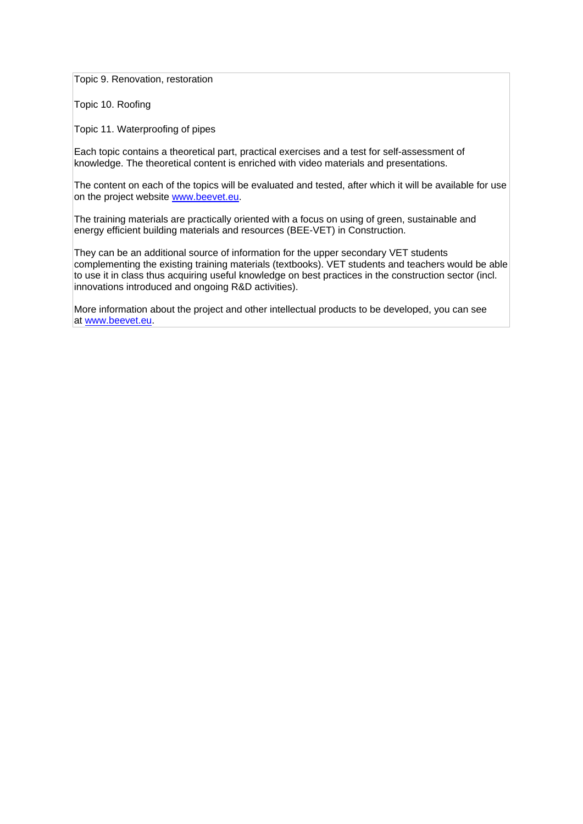Topic 9. Renovation, restoration

Topic 10. Roofing

Topic 11. Waterproofing of pipes

Each topic contains a theoretical part, practical exercises and a test for self-assessment of knowledge. The theoretical content is enriched with video materials and presentations.

The content on each of the topics will be evaluated and tested, after which it will be available for use on the project website www.beevet.eu.

The training materials are practically oriented with a focus on using of green, sustainable and energy efficient building materials and resources (BEE-VET) in Construction.

They can be an additional source of information for the upper secondary VET students complementing the existing training materials (textbooks). VET students and teachers would be able to use it in class thus acquiring useful knowledge on best practices in the construction sector (incl. innovations introduced and ongoing R&D activities).

More information about the project and other intellectual products to be developed, you can see at www.beevet.eu.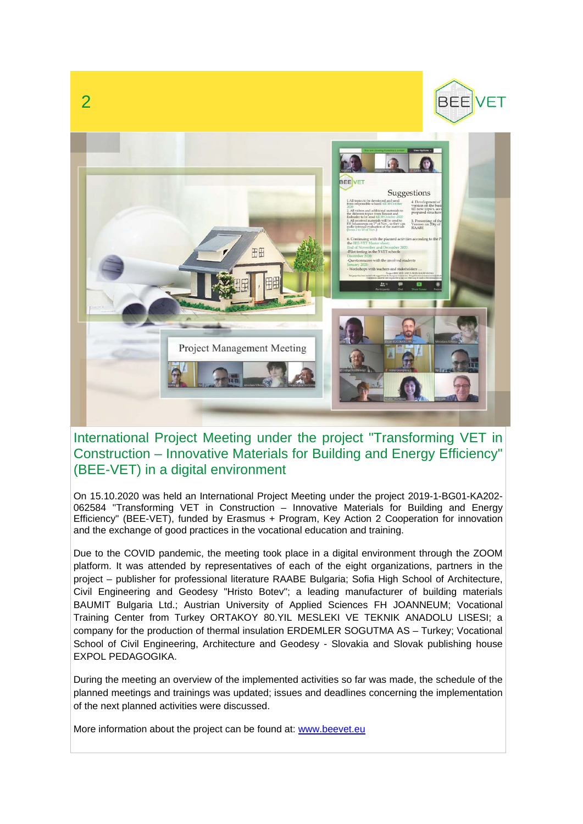

#### International Project Meeting under the project "Transforming VET in Construction – Innovative Materials for Building and Energy Efficiency" (BEE-VET) in a digital environment

On 15.10.2020 was held an International Project Meeting under the project 2019-1-BG01-KA202- 062584 "Transforming VET in Construction – Innovative Materials for Building and Energy Efficiency" (BEE-VET), funded by Erasmus + Program, Key Action 2 Cooperation for innovation and the exchange of good practices in the vocational education and training.

Due to the COVID pandemic, the meeting took place in a digital environment through the ZOOM platform. It was attended by representatives of each of the eight organizations, partners in the project – publisher for professional literature RAABE Bulgaria; Sofia High School of Architecture, Civil Engineering and Geodesy "Hristo Botev"; a leading manufacturer of building materials BAUMIT Bulgaria Ltd.; Austrian University of Applied Sciences FH JOANNEUM; Vocational Training Center from Turkey ORTAKOY 80.YIL MESLEKI VE TEKNIK ANADOLU LISESI; a company for the production of thermal insulation ERDEMLER SOGUTMA AS – Turkey; Vocational School of Civil Engineering, Architecture and Geodesy - Slovakia and Slovak publishing house EXPOL PEDAGOGIKA.

During the meeting an overview of the implemented activities so far was made, the schedule of the planned meetings and trainings was updated; issues and deadlines concerning the implementation of the next planned activities were discussed.

More information about the project can be found at: www.beevet.eu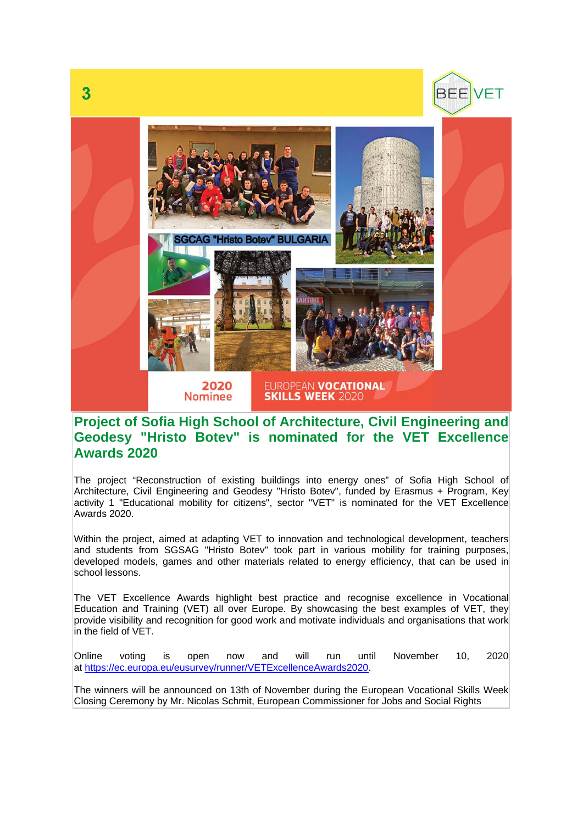



#### **Project of Sofia High School of Architecture, Civil Engineering and Geodesy "Hristo Botev" is nominated for the VET Excellence Awards 2020**

The project "Reconstruction of existing buildings into energy ones" of Sofia High School of Architecture, Civil Engineering and Geodesy "Hristo Botev", funded by Erasmus + Program, Key activity 1 "Educational mobility for citizens", sector "VET" is nominated for the VET Excellence Awards 2020.

Within the project, aimed at adapting VET to innovation and technological development, teachers and students from SGSAG "Hristo Botev" took part in various mobility for training purposes, developed models, games and other materials related to energy efficiency, that can be used in school lessons.

The VET Excellence Awards highlight best practice and recognise excellence in Vocational Education and Training (VET) all over Europe. By showcasing the best examples of VET, they provide visibility and recognition for good work and motivate individuals and organisations that work in the field of VET.

Online voting is open now and will run until November 10, 2020 at https://ec.europa.eu/eusurvey/runner/VETExcellenceAwards2020.

Тhe winners will be announced on 13th of November during the European Vocational Skills Week Closing Ceremony by Mr. Nicolas Schmit, European Commissioner for Jobs and Social Rights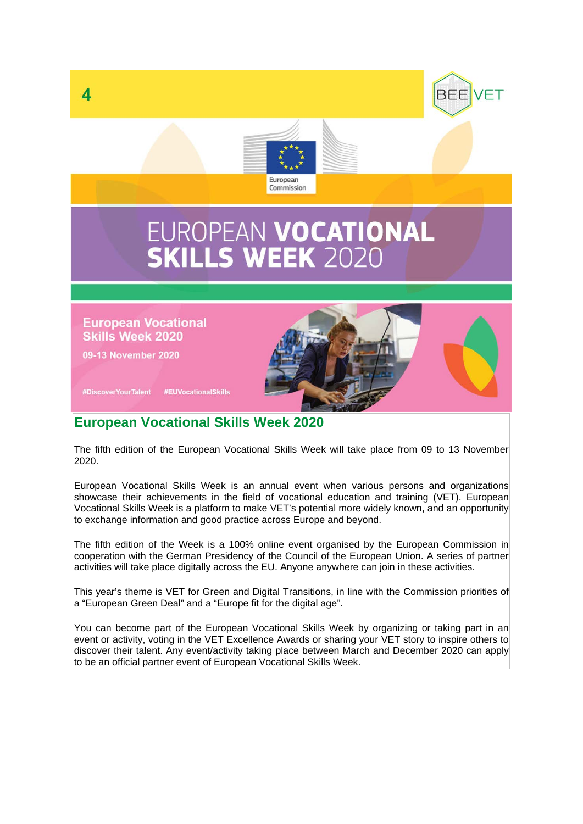

# EUROPEAN VOCATIONAL<br>SKILLS WEEK 2020

**European Vocational Skills Week 2020** 

09-13 November 2020



**BEF** 

#DiscoverYourTalent #EUVocationalSkills

#### **Еuropean Vocational Skills Week 2020**

The fifth edition of the European Vocational Skills Week will take place from 09 to 13 November 2020.

Еuropean Vocational Skills Week is an annual event when various persons and organizations showcase their achievements in the field of vocational education and training (VET). European Vocational Skills Week is a platform to make VET's potential more widely known, and an opportunity to exchange information and good practice across Europe and beyond.

The fifth edition of the Week is a 100% online event organised by the European Commission in cooperation with the German Presidency of the Council of the European Union. A series of partner activities will take place digitally across the EU. Anyone anywhere can join in these activities.

This year's theme is VET for Green and Digital Transitions, in line with the Commission priorities of a "European Green Deal" and a "Europe fit for the digital age".

You can become part of the European Vocational Skills Week by organizing or taking part in an event or activity, voting in the VET Excellence Awards or sharing your VET story to inspire others to discover their talent. Any event/activity taking place between March and December 2020 can apply to be an official partner event of European Vocational Skills Week.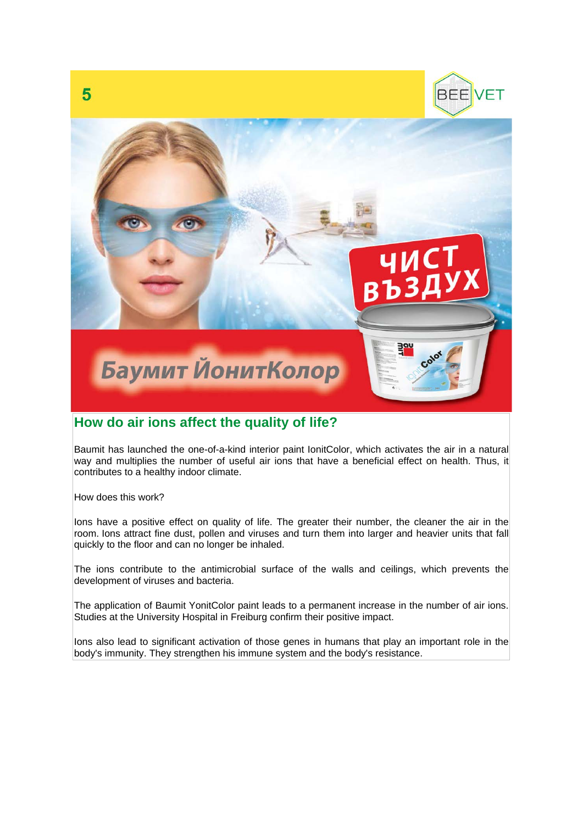

#### **How do air ions affect the quality of life?**

Baumit has launched the one-of-a-kind interior paint IonitColor, which activates the air in a natural way and multiplies the number of useful air ions that have a beneficial effect on health. Thus, it contributes to a healthy indoor climate.

How does this work?

lons have a positive effect on quality of life. The greater their number, the cleaner the air in the room. Ions attract fine dust, pollen and viruses and turn them into larger and heavier units that fall quickly to the floor and can no longer be inhaled.

The ions contribute to the antimicrobial surface of the walls and ceilings, which prevents the development of viruses and bacteria.

The application of Baumit YonitColor paint leads to a permanent increase in the number of air ions. Studies at the University Hospital in Freiburg confirm their positive impact.

Ions also lead to significant activation of those genes in humans that play an important role in the body's immunity. They strengthen his immune system and the body's resistance.